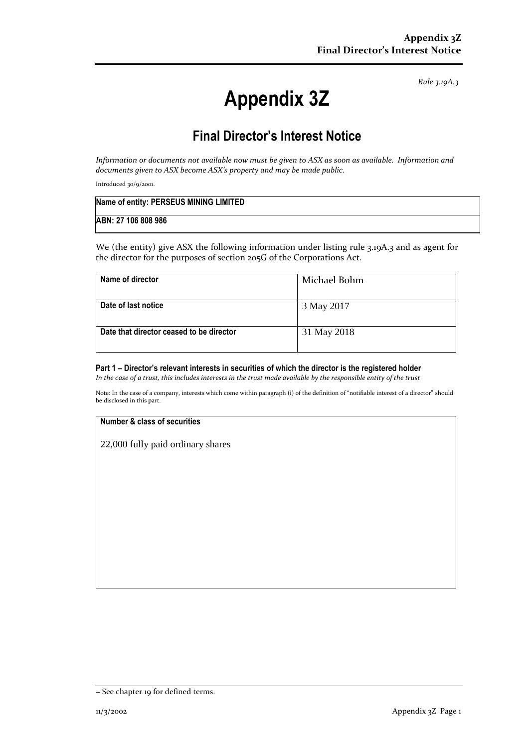*Rule 3.19A.3*

# **Appendix 3Z**

## **Final Director's Interest Notice**

*Information or documents not available now must be given to ASX as soon as available. Information and documents given to ASX become ASX's property and may be made public.*

Introduced 30/9/2001.

| Name of entity: PERSEUS MINING LIMITED |  |
|----------------------------------------|--|
| ABN: 27 106 808 986                    |  |

We (the entity) give ASX the following information under listing rule 3.19A.3 and as agent for the director for the purposes of section 205G of the Corporations Act.

| Name of director                         | Michael Bohm |
|------------------------------------------|--------------|
| Date of last notice                      | 3 May 2017   |
| Date that director ceased to be director | 31 May 2018  |

#### **Part 1 – Director's relevant interests in securities of which the director is the registered holder**

*In the case of a trust, this includes interests in the trust made available by the responsible entity of the trust*

Note: In the case of a company, interests which come within paragraph (i) of the definition of "notifiable interest of a director" should be disclosed in this part.

#### **Number & class of securities**

22,000 fully paid ordinary shares

<sup>+</sup> See chapter 19 for defined terms.